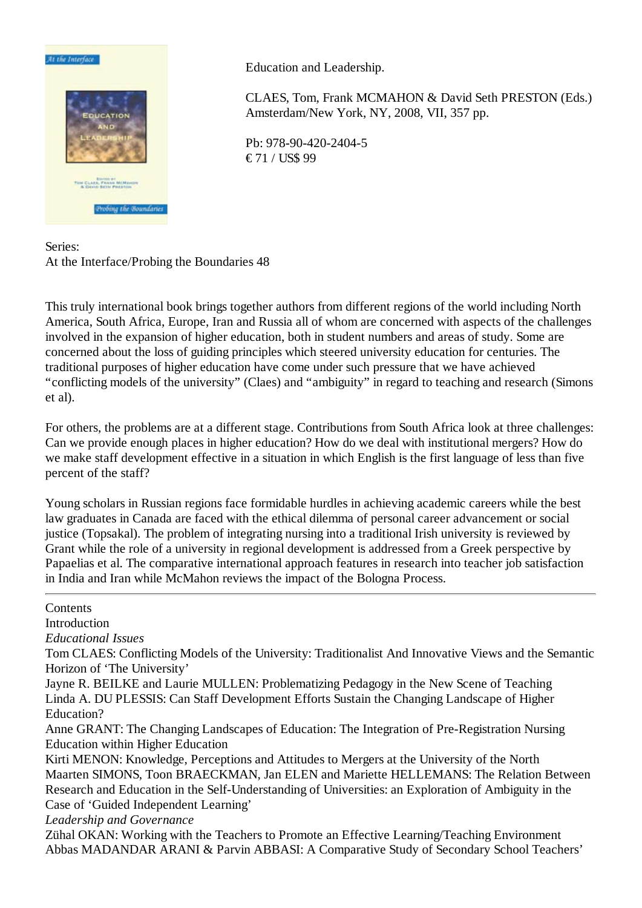

Education and Leadership.

CLAES, Tom, Frank MCMAHON & David Seth PRESTON (Eds.) Amsterdam/New York, NY, 2008, VII, 357 pp.

Pb: 978-90-420-2404-5 € 71 / US\$ 99

Series: At the Interface/Probing the Boundaries 48

This truly international book brings together authors from different regions of the world including North America, South Africa, Europe, Iran and Russia all of whom are concerned with aspects of the challenges involved in the expansion of higher education, both in student numbers and areas of study. Some are concerned about the loss of guiding principles which steered university education for centuries. The traditional purposes of higher education have come under such pressure that we have achieved "conflicting models of the university" (Claes) and "ambiguity" in regard to teaching and research (Simons et al).

For others, the problems are at a different stage. Contributions from South Africa look at three challenges: Can we provide enough places in higher education? How do we deal with institutional mergers? How do we make staff development effective in a situation in which English is the first language of less than five percent of the staff?

Young scholars in Russian regions face formidable hurdles in achieving academic careers while the best law graduates in Canada are faced with the ethical dilemma of personal career advancement or social justice (Topsakal). The problem of integrating nursing into a traditional Irish university is reviewed by Grant while the role of a university in regional development is addressed from a Greek perspective by Papaelias et al. The comparative international approach features in research into teacher job satisfaction in India and Iran while McMahon reviews the impact of the Bologna Process.

## Contents

Introduction

*Educational Issues*

Tom CLAES: Conflicting Models of the University: Traditionalist And Innovative Views and the Semantic Horizon of 'The University'

Jayne R. BEILKE and Laurie MULLEN: Problematizing Pedagogy in the New Scene of Teaching Linda A. DU PLESSIS: Can Staff Development Efforts Sustain the Changing Landscape of Higher Education?

Anne GRANT: The Changing Landscapes of Education: The Integration of Pre-Registration Nursing Education within Higher Education

Kirti MENON: Knowledge, Perceptions and Attitudes to Mergers at the University of the North Maarten SIMONS, Toon BRAECKMAN, Jan ELEN and Mariette HELLEMANS: The Relation Between Research and Education in the Self-Understanding of Universities: an Exploration of Ambiguity in the Case of 'Guided Independent Learning'

*Leadership and Governance*

Zühal OKAN: Working with the Teachers to Promote an Effective Learning/Teaching Environment Abbas MADANDAR ARANI & Parvin ABBASI: A Comparative Study of Secondary School Teachers'